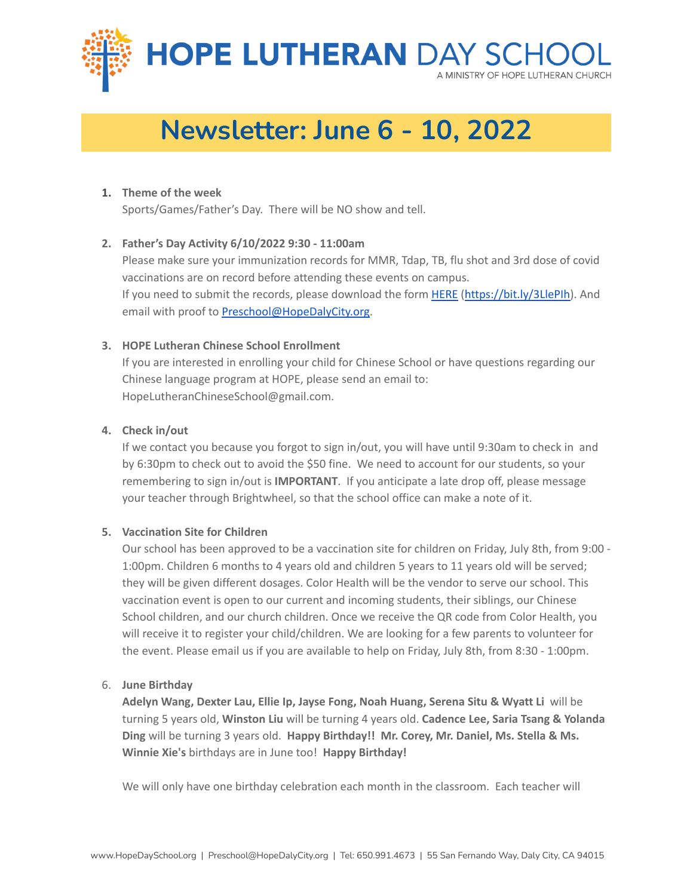

# **Newsletter: June 6 - 10, 2022**

#### **1. Theme of the week**

Sports/Games/Father's Day. There will be NO show and tell.

## **2. Father's Day Activity 6/10/2022 9:30 - 11:00am**

Please make sure your immunization records for MMR, Tdap, TB, flu shot and 3rd dose of covid vaccinations are on record before attending these events on campus. If you need to submit the records, please download the form [HERE](https://bit.ly/3LlePIh) ([https://bit.ly/3LlePIh\)](https://bit.ly/3LlePIh). And email with proof to **Preschool@HopeDalyCity.org**.

## **3. HOPE Lutheran Chinese School Enrollment**

If you are interested in enrolling your child for Chinese School or have questions regarding our Chinese language program at HOPE, please send an email to: HopeLutheranChineseSchool@gmail.com.

## **4. Check in/out**

If we contact you because you forgot to sign in/out, you will have until 9:30am to check in and by 6:30pm to check out to avoid the \$50 fine. We need to account for our students, so your remembering to sign in/out is **IMPORTANT**. If you anticipate a late drop off, please message your teacher through Brightwheel, so that the school office can make a note of it.

#### **5. Vaccination Site for Children**

Our school has been approved to be a vaccination site for children on Friday, July 8th, from 9:00 - 1:00pm. Children 6 months to 4 years old and children 5 years to 11 years old will be served; they will be given different dosages. Color Health will be the vendor to serve our school. This vaccination event is open to our current and incoming students, their siblings, our Chinese School children, and our church children. Once we receive the QR code from Color Health, you will receive it to register your child/children. We are looking for a few parents to volunteer for the event. Please email us if you are available to help on Friday, July 8th, from 8:30 - 1:00pm.

#### 6. **June Birthday**

**Adelyn Wang, Dexter Lau, Ellie Ip, Jayse Fong, Noah Huang, Serena Situ & Wyatt Li** will be turning 5 years old, **Winston Liu** will be turning 4 years old. **Cadence Lee, Saria Tsang & Yolanda Ding** will be turning 3 years old. **Happy Birthday!! Mr. Corey, Mr. Daniel, Ms. Stella & Ms. Winnie Xie's** birthdays are in June too! **Happy Birthday!**

We will only have one birthday celebration each month in the classroom. Each teacher will